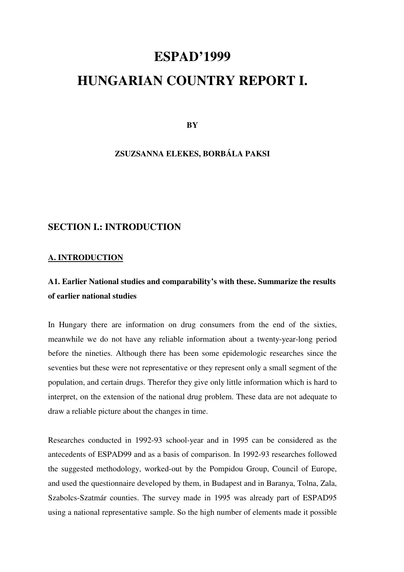# **ESPAD'1999**

# **HUNGARIAN COUNTRY REPORT I.**

**BY** 

**ZSUZSANNA ELEKES, BORBÁLA PAKSI** 

## **SECTION I.: INTRODUCTION**

#### **A. INTRODUCTION**

# **A1. Earlier National studies and comparability's with these. Summarize the results of earlier national studies**

In Hungary there are information on drug consumers from the end of the sixties, meanwhile we do not have any reliable information about a twenty-year-long period before the nineties. Although there has been some epidemologic researches since the seventies but these were not representative or they represent only a small segment of the population, and certain drugs. Therefor they give only little information which is hard to interpret, on the extension of the national drug problem. These data are not adequate to draw a reliable picture about the changes in time.

Researches conducted in 1992-93 school-year and in 1995 can be considered as the antecedents of ESPAD99 and as a basis of comparison. In 1992-93 researches followed the suggested methodology, worked-out by the Pompidou Group, Council of Europe, and used the questionnaire developed by them, in Budapest and in Baranya, Tolna, Zala, Szabolcs-Szatmár counties. The survey made in 1995 was already part of ESPAD95 using a national representative sample. So the high number of elements made it possible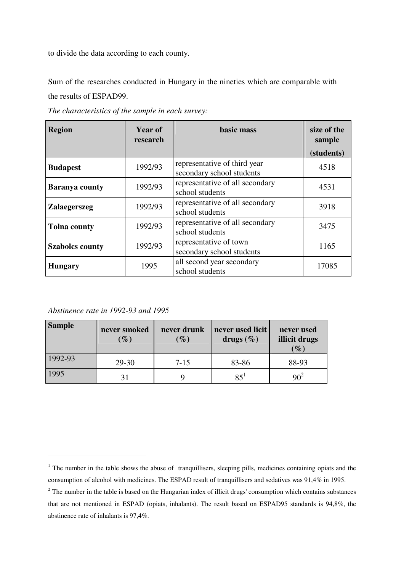to divide the data according to each county.

Sum of the researches conducted in Hungary in the nineties which are comparable with the results of ESPAD99.

| <b>Region</b>          | <b>Year of</b><br>research | basic mass                                                | size of the<br>sample |
|------------------------|----------------------------|-----------------------------------------------------------|-----------------------|
|                        |                            |                                                           | (students)            |
| <b>Budapest</b>        | 1992/93                    | representative of third year<br>secondary school students | 4518                  |
| <b>Baranya county</b>  | 1992/93                    | representative of all secondary<br>school students        | 4531                  |
| <b>Zalaegerszeg</b>    | 1992/93                    | representative of all secondary<br>school students        | 3918                  |
| <b>Tolna county</b>    | 1992/93                    | representative of all secondary<br>school students        | 3475                  |
| <b>Szabolcs county</b> | 1992/93                    | representative of town<br>secondary school students       | 1165                  |
| <b>Hungary</b>         | 1995                       | all second year secondary<br>school students              | 17085                 |

*The characteristics of the sample in each survey:* 

*Abstinence rate in 1992-93 and 1995* 

 $\overline{a}$ 

| <b>Sample</b> | never smoked<br>$\mathscr{G}_o$ | never drunk<br>$(\%)$ | never used licit<br>drugs $(\% )$ | never used<br>illicit drugs<br>$(\%)$ |
|---------------|---------------------------------|-----------------------|-----------------------------------|---------------------------------------|
| 1992-93       | 29-30                           | $7 - 15$              | 83-86                             | 88-93                                 |
| 1995          |                                 |                       | $85^{1}$                          | $90^2$                                |

 $<sup>1</sup>$  The number in the table shows the abuse of tranquillisers, sleeping pills, medicines containing opiats and the</sup> consumption of alcohol with medicines. The ESPAD result of tranquillisers and sedatives was 91,4% in 1995.

 $2$  The number in the table is based on the Hungarian index of illicit drugs' consumption which contains substances that are not mentioned in ESPAD (opiats, inhalants). The result based on ESPAD95 standards is 94,8%, the abstinence rate of inhalants is 97,4%.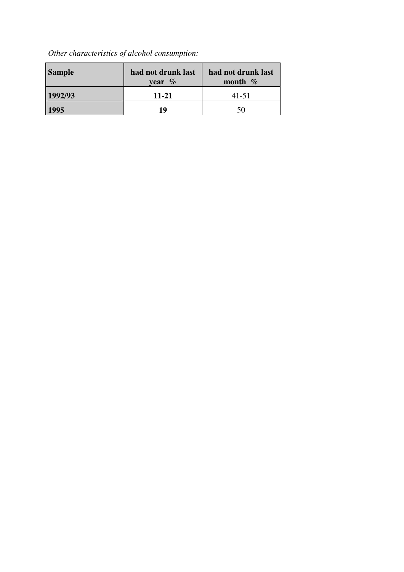# *Other characteristics of alcohol consumption:*

| <b>Sample</b> | had not drunk last<br>year $\%$ | had not drunk last<br>month $\%$ |
|---------------|---------------------------------|----------------------------------|
| 1992/93       | 11-21                           | 41-51                            |
| 1995          | 19                              | 50                               |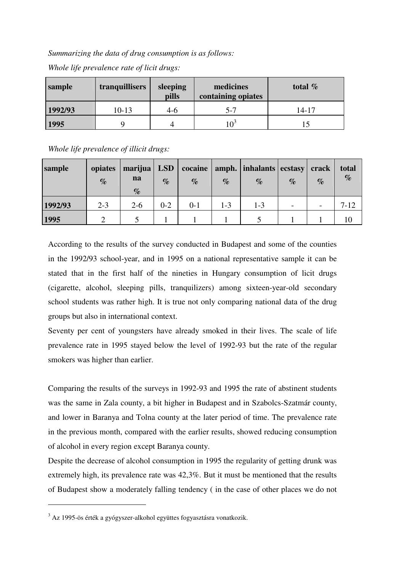*Summarizing the data of drug consumption is as follows:* 

| sample  | tranquillisers | sleeping<br>pills | medicines<br>containing opiates | total $%$ |
|---------|----------------|-------------------|---------------------------------|-----------|
| 1992/93 | $10-13$        | 4-6               | 5-7                             | 14-17     |
| 1995    |                |                   | 1 $\Omega^3$                    |           |

*Whole life prevalence rate of licit drugs:*

*Whole life prevalence of illicit drugs:*

| sample  | opiates<br>$\%$ | marijua   LSD<br>na<br>$\%$ | $\%$    | cocaine<br>$\%$ | $\%$ | amph.   inhalants   ecstasy   crack<br>$\%$ | $\%$                     | $\%$ | total<br>$\%$ |
|---------|-----------------|-----------------------------|---------|-----------------|------|---------------------------------------------|--------------------------|------|---------------|
| 1992/93 | $2 - 3$         | $2 - 6$                     | $0 - 2$ | $0 - 1$         | 1-3  | 1-3                                         | $\overline{\phantom{0}}$ |      | $7 - 12$      |
| 1995    |                 |                             |         |                 |      |                                             |                          |      |               |

According to the results of the survey conducted in Budapest and some of the counties in the 1992/93 school-year, and in 1995 on a national representative sample it can be stated that in the first half of the nineties in Hungary consumption of licit drugs (cigarette, alcohol, sleeping pills, tranquilizers) among sixteen-year-old secondary school students was rather high. It is true not only comparing national data of the drug groups but also in international context.

Seventy per cent of youngsters have already smoked in their lives. The scale of life prevalence rate in 1995 stayed below the level of 1992-93 but the rate of the regular smokers was higher than earlier.

Comparing the results of the surveys in 1992-93 and 1995 the rate of abstinent students was the same in Zala county, a bit higher in Budapest and in Szabolcs-Szatmár county, and lower in Baranya and Tolna county at the later period of time. The prevalence rate in the previous month, compared with the earlier results, showed reducing consumption of alcohol in every region except Baranya county.

Despite the decrease of alcohol consumption in 1995 the regularity of getting drunk was extremely high, its prevalence rate was 42,3%. But it must be mentioned that the results of Budapest show a moderately falling tendency ( in the case of other places we do not

 $\overline{a}$ 

<sup>&</sup>lt;sup>3</sup> Az 1995-ös érték a gyógyszer-alkohol együttes fogyasztásra vonatkozik.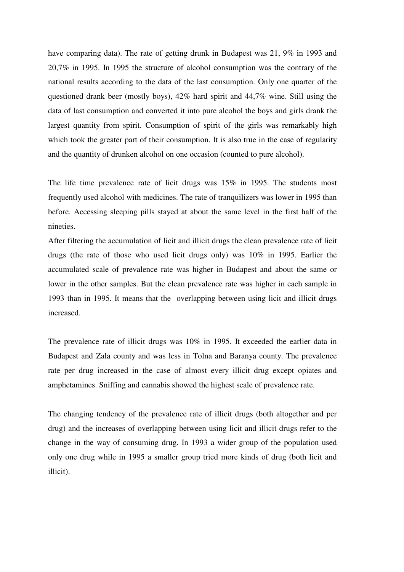have comparing data). The rate of getting drunk in Budapest was 21, 9% in 1993 and 20,7% in 1995. In 1995 the structure of alcohol consumption was the contrary of the national results according to the data of the last consumption. Only one quarter of the questioned drank beer (mostly boys), 42% hard spirit and 44,7% wine. Still using the data of last consumption and converted it into pure alcohol the boys and girls drank the largest quantity from spirit. Consumption of spirit of the girls was remarkably high which took the greater part of their consumption. It is also true in the case of regularity and the quantity of drunken alcohol on one occasion (counted to pure alcohol).

The life time prevalence rate of licit drugs was 15% in 1995. The students most frequently used alcohol with medicines. The rate of tranquilizers was lower in 1995 than before. Accessing sleeping pills stayed at about the same level in the first half of the nineties.

After filtering the accumulation of licit and illicit drugs the clean prevalence rate of licit drugs (the rate of those who used licit drugs only) was 10% in 1995. Earlier the accumulated scale of prevalence rate was higher in Budapest and about the same or lower in the other samples. But the clean prevalence rate was higher in each sample in 1993 than in 1995. It means that the overlapping between using licit and illicit drugs increased.

The prevalence rate of illicit drugs was 10% in 1995. It exceeded the earlier data in Budapest and Zala county and was less in Tolna and Baranya county. The prevalence rate per drug increased in the case of almost every illicit drug except opiates and amphetamines. Sniffing and cannabis showed the highest scale of prevalence rate.

The changing tendency of the prevalence rate of illicit drugs (both altogether and per drug) and the increases of overlapping between using licit and illicit drugs refer to the change in the way of consuming drug. In 1993 a wider group of the population used only one drug while in 1995 a smaller group tried more kinds of drug (both licit and illicit).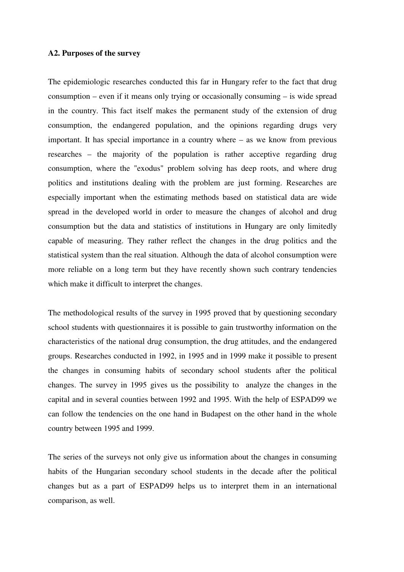#### **A2. Purposes of the survey**

The epidemiologic researches conducted this far in Hungary refer to the fact that drug consumption – even if it means only trying or occasionally consuming – is wide spread in the country. This fact itself makes the permanent study of the extension of drug consumption, the endangered population, and the opinions regarding drugs very important. It has special importance in a country where – as we know from previous researches – the majority of the population is rather acceptive regarding drug consumption, where the "exodus" problem solving has deep roots, and where drug politics and institutions dealing with the problem are just forming. Researches are especially important when the estimating methods based on statistical data are wide spread in the developed world in order to measure the changes of alcohol and drug consumption but the data and statistics of institutions in Hungary are only limitedly capable of measuring. They rather reflect the changes in the drug politics and the statistical system than the real situation. Although the data of alcohol consumption were more reliable on a long term but they have recently shown such contrary tendencies which make it difficult to interpret the changes.

The methodological results of the survey in 1995 proved that by questioning secondary school students with questionnaires it is possible to gain trustworthy information on the characteristics of the national drug consumption, the drug attitudes, and the endangered groups. Researches conducted in 1992, in 1995 and in 1999 make it possible to present the changes in consuming habits of secondary school students after the political changes. The survey in 1995 gives us the possibility to analyze the changes in the capital and in several counties between 1992 and 1995. With the help of ESPAD99 we can follow the tendencies on the one hand in Budapest on the other hand in the whole country between 1995 and 1999.

The series of the surveys not only give us information about the changes in consuming habits of the Hungarian secondary school students in the decade after the political changes but as a part of ESPAD99 helps us to interpret them in an international comparison, as well.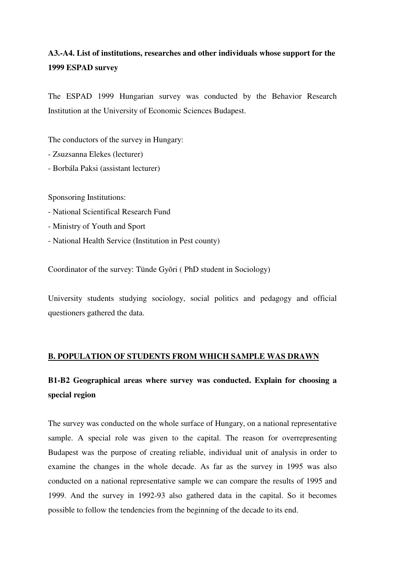# **A3.-A4. List of institutions, researches and other individuals whose support for the 1999 ESPAD survey**

The ESPAD 1999 Hungarian survey was conducted by the Behavior Research Institution at the University of Economic Sciences Budapest.

The conductors of the survey in Hungary:

- Zsuzsanna Elekes (lecturer)
- Borbála Paksi (assistant lecturer)

Sponsoring Institutions:

- National Scientifical Research Fund
- Ministry of Youth and Sport
- National Health Service (Institution in Pest county)

Coordinator of the survey: Tünde Gyõri ( PhD student in Sociology)

University students studying sociology, social politics and pedagogy and official questioners gathered the data.

#### **B. POPULATION OF STUDENTS FROM WHICH SAMPLE WAS DRAWN**

# **B1-B2 Geographical areas where survey was conducted. Explain for choosing a special region**

The survey was conducted on the whole surface of Hungary, on a national representative sample. A special role was given to the capital. The reason for overrepresenting Budapest was the purpose of creating reliable, individual unit of analysis in order to examine the changes in the whole decade. As far as the survey in 1995 was also conducted on a national representative sample we can compare the results of 1995 and 1999. And the survey in 1992-93 also gathered data in the capital. So it becomes possible to follow the tendencies from the beginning of the decade to its end.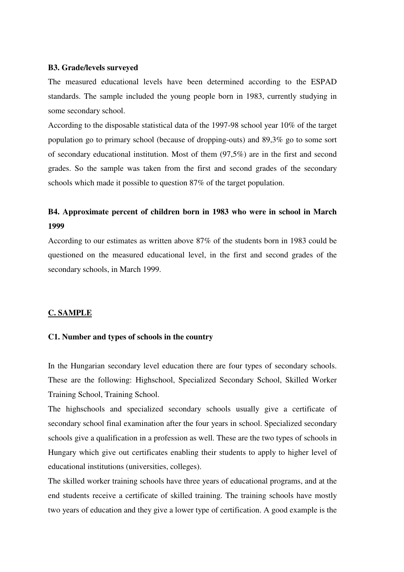#### **B3. Grade/levels surveyed**

The measured educational levels have been determined according to the ESPAD standards. The sample included the young people born in 1983, currently studying in some secondary school.

According to the disposable statistical data of the 1997-98 school year 10% of the target population go to primary school (because of dropping-outs) and 89,3% go to some sort of secondary educational institution. Most of them (97,5%) are in the first and second grades. So the sample was taken from the first and second grades of the secondary schools which made it possible to question 87% of the target population.

## **B4. Approximate percent of children born in 1983 who were in school in March 1999**

According to our estimates as written above 87% of the students born in 1983 could be questioned on the measured educational level, in the first and second grades of the secondary schools, in March 1999.

#### **C. SAMPLE**

#### **C1. Number and types of schools in the country**

In the Hungarian secondary level education there are four types of secondary schools. These are the following: Highschool, Specialized Secondary School, Skilled Worker Training School, Training School.

The highschools and specialized secondary schools usually give a certificate of secondary school final examination after the four years in school. Specialized secondary schools give a qualification in a profession as well. These are the two types of schools in Hungary which give out certificates enabling their students to apply to higher level of educational institutions (universities, colleges).

The skilled worker training schools have three years of educational programs, and at the end students receive a certificate of skilled training. The training schools have mostly two years of education and they give a lower type of certification. A good example is the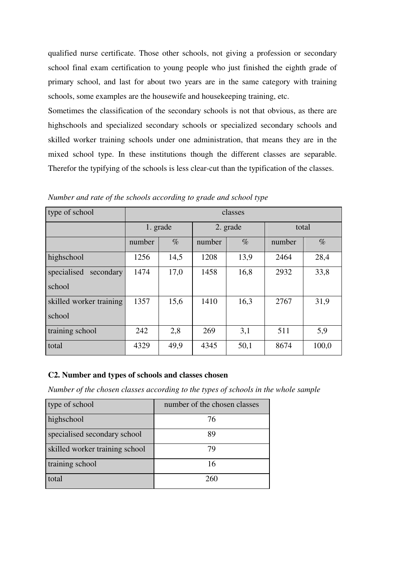qualified nurse certificate. Those other schools, not giving a profession or secondary school final exam certification to young people who just finished the eighth grade of primary school, and last for about two years are in the same category with training schools, some examples are the housewife and housekeeping training, etc.

Sometimes the classification of the secondary schools is not that obvious, as there are highschools and specialized secondary schools or specialized secondary schools and skilled worker training schools under one administration, that means they are in the mixed school type. In these institutions though the different classes are separable. Therefor the typifying of the schools is less clear-cut than the typification of the classes.

| type of school                    | classes  |      |        |          |        |       |
|-----------------------------------|----------|------|--------|----------|--------|-------|
|                                   | 1. grade |      |        | 2. grade | total  |       |
|                                   | number   | $\%$ | number | $\%$     | number | $\%$  |
| highschool                        | 1256     | 14,5 | 1208   | 13,9     | 2464   | 28,4  |
| specialised<br>secondary          | 1474     | 17,0 | 1458   | 16,8     | 2932   | 33,8  |
| school                            |          |      |        |          |        |       |
| skilled worker training<br>school | 1357     | 15,6 | 1410   | 16,3     | 2767   | 31,9  |
| training school                   | 242      | 2,8  | 269    | 3,1      | 511    | 5,9   |
| total                             | 4329     | 49,9 | 4345   | 50,1     | 8674   | 100,0 |

*Number and rate of the schools according to grade and school type* 

#### **C2. Number and types of schools and classes chosen**

*Number of the chosen classes according to the types of schools in the whole sample* 

| type of school                 | number of the chosen classes |
|--------------------------------|------------------------------|
| highschool                     | 76                           |
| specialised secondary school   | 89                           |
| skilled worker training school | 79                           |
| training school                | 16                           |
| total                          | 260                          |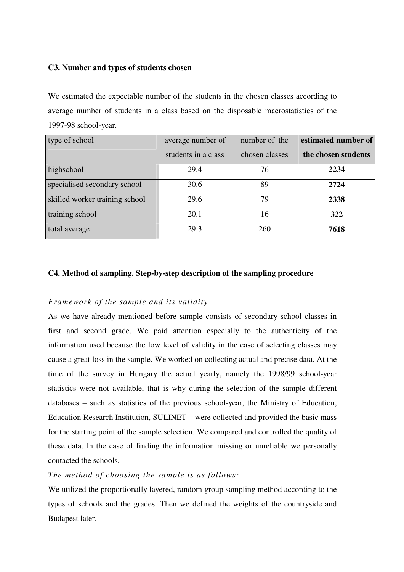#### **C3. Number and types of students chosen**

We estimated the expectable number of the students in the chosen classes according to average number of students in a class based on the disposable macrostatistics of the 1997-98 school-year.

| type of school                 | average number of   | number of the  | estimated number of |
|--------------------------------|---------------------|----------------|---------------------|
|                                | students in a class | chosen classes | the chosen students |
| highschool                     | 29.4                | 76             | 2234                |
| specialised secondary school   | 30.6                | 89             | 2724                |
| skilled worker training school | 29.6                | 79             | 2338                |
| training school                | 20.1                | 16             | 322                 |
| total average                  | 29.3                | 260            | 7618                |

## **C4. Method of sampling. Step-by-step description of the sampling procedure**

## *Framework of the sample and its validity*

As we have already mentioned before sample consists of secondary school classes in first and second grade. We paid attention especially to the authenticity of the information used because the low level of validity in the case of selecting classes may cause a great loss in the sample. We worked on collecting actual and precise data. At the time of the survey in Hungary the actual yearly, namely the 1998/99 school-year statistics were not available, that is why during the selection of the sample different databases – such as statistics of the previous school-year, the Ministry of Education, Education Research Institution, SULINET – were collected and provided the basic mass for the starting point of the sample selection. We compared and controlled the quality of these data. In the case of finding the information missing or unreliable we personally contacted the schools.

#### *The method of choosing the sample is as follows:*

We utilized the proportionally layered, random group sampling method according to the types of schools and the grades. Then we defined the weights of the countryside and Budapest later.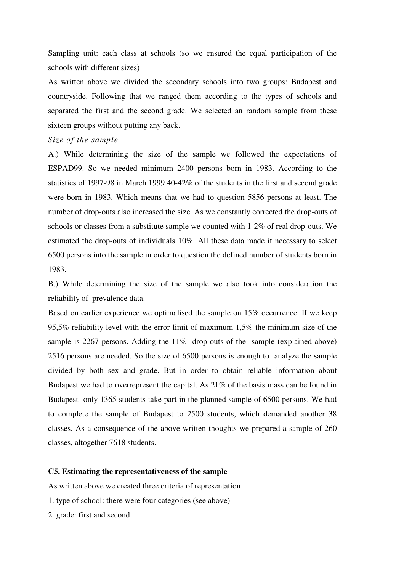Sampling unit: each class at schools (so we ensured the equal participation of the schools with different sizes)

As written above we divided the secondary schools into two groups: Budapest and countryside. Following that we ranged them according to the types of schools and separated the first and the second grade. We selected an random sample from these sixteen groups without putting any back.

#### *Size of the sample*

A.) While determining the size of the sample we followed the expectations of ESPAD99. So we needed minimum 2400 persons born in 1983. According to the statistics of 1997-98 in March 1999 40-42% of the students in the first and second grade were born in 1983. Which means that we had to question 5856 persons at least. The number of drop-outs also increased the size. As we constantly corrected the drop-outs of schools or classes from a substitute sample we counted with 1-2% of real drop-outs. We estimated the drop-outs of individuals 10%. All these data made it necessary to select 6500 persons into the sample in order to question the defined number of students born in 1983.

B.) While determining the size of the sample we also took into consideration the reliability of prevalence data.

Based on earlier experience we optimalised the sample on 15% occurrence. If we keep 95,5% reliability level with the error limit of maximum 1,5% the minimum size of the sample is 2267 persons. Adding the 11% drop-outs of the sample (explained above) 2516 persons are needed. So the size of 6500 persons is enough to analyze the sample divided by both sex and grade. But in order to obtain reliable information about Budapest we had to overrepresent the capital. As 21% of the basis mass can be found in Budapest only 1365 students take part in the planned sample of 6500 persons. We had to complete the sample of Budapest to 2500 students, which demanded another 38 classes. As a consequence of the above written thoughts we prepared a sample of 260 classes, altogether 7618 students.

#### **C5. Estimating the representativeness of the sample**

As written above we created three criteria of representation

- 1. type of school: there were four categories (see above)
- 2. grade: first and second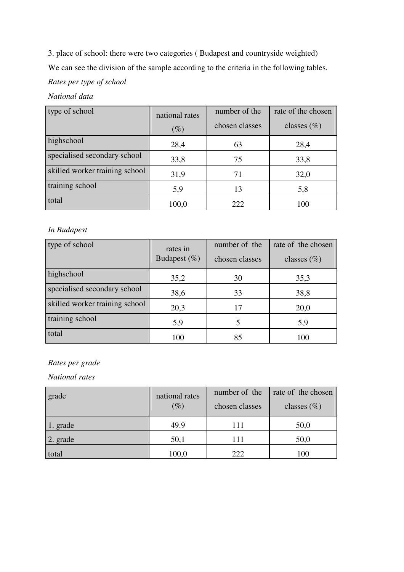3. place of school: there were two categories ( Budapest and countryside weighted) We can see the division of the sample according to the criteria in the following tables. *Rates per type of school*

## *National data*

| type of school                 | national rates<br>$(\%)$ | number of the<br>chosen classes | rate of the chosen<br>classes $(\%)$ |
|--------------------------------|--------------------------|---------------------------------|--------------------------------------|
| highschool                     | 28,4                     | 63                              | 28,4                                 |
| specialised secondary school   | 33,8                     | 75                              | 33,8                                 |
| skilled worker training school | 31,9                     | 71                              | 32,0                                 |
| training school                | 5,9                      | 13                              | 5,8                                  |
| total                          | 100,0                    | 222                             | 100                                  |

## *In Budapest*

| type of school                 | rates in<br>Budapest $(\%)$ | number of the<br>chosen classes | rate of the chosen<br>classes $(\%)$ |
|--------------------------------|-----------------------------|---------------------------------|--------------------------------------|
| highschool                     | 35,2                        | 30                              | 35,3                                 |
| specialised secondary school   | 38,6                        | 33                              | 38,8                                 |
| skilled worker training school | 20,3                        | 17                              | 20,0                                 |
| training school                | 5,9                         |                                 | 5,9                                  |
| total                          | 100                         | 85                              | 100                                  |

## *Rates per grade*

*National rates* 

| grade    | national rates<br>$(\%)$ | number of the<br>chosen classes | rate of the chosen<br>classes $(\%)$ |
|----------|--------------------------|---------------------------------|--------------------------------------|
| 1. grade | 49.9                     | 111                             | 50,0                                 |
| 2. grade | 50,1                     | 111                             | 50,0                                 |
| total    | 100,0                    | 222                             | 100                                  |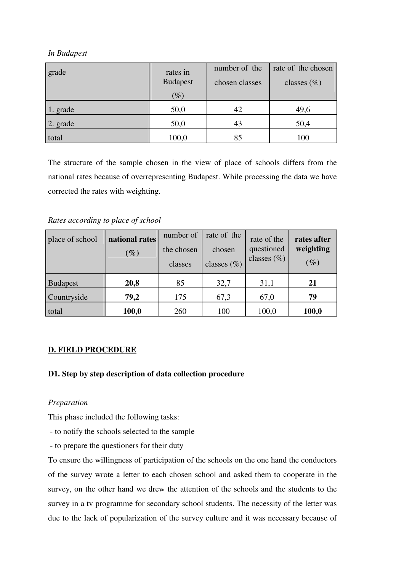#### *In Budapest*

| grade    | rates in        | number of the  | rate of the chosen |
|----------|-----------------|----------------|--------------------|
|          | <b>Budapest</b> | chosen classes | classes $(\%)$     |
|          | $(\%)$          |                |                    |
| 1. grade | 50,0            | 42             | 49,6               |
| 2. grade | 50,0            | 43             | 50,4               |
| total    | 100,0           | 85             | 100                |

The structure of the sample chosen in the view of place of schools differs from the national rates because of overrepresenting Budapest. While processing the data we have corrected the rates with weighting.

*Rates according to place of school* 

| place of school | national rates<br>$(\%)$ | number of<br>the chosen<br>classes | rate of the<br>chosen<br>classes $(\% )$ | rate of the<br>questioned<br>classes $(\%)$ | rates after<br>weighting<br>$(\%)$ |
|-----------------|--------------------------|------------------------------------|------------------------------------------|---------------------------------------------|------------------------------------|
| <b>Budapest</b> | 20,8                     | 85                                 | 32,7                                     | 31,1                                        | 21                                 |
| Countryside     | 79,2                     | 175                                | 67,3                                     | 67,0                                        | 79                                 |
| total           | 100,0                    | 260                                | 100                                      | 100,0                                       | 100,0                              |

## **D. FIELD PROCEDURE**

## **D1. Step by step description of data collection procedure**

#### *Preparation*

This phase included the following tasks:

- to notify the schools selected to the sample
- to prepare the questioners for their duty

To ensure the willingness of participation of the schools on the one hand the conductors of the survey wrote a letter to each chosen school and asked them to cooperate in the survey, on the other hand we drew the attention of the schools and the students to the survey in a tv programme for secondary school students. The necessity of the letter was due to the lack of popularization of the survey culture and it was necessary because of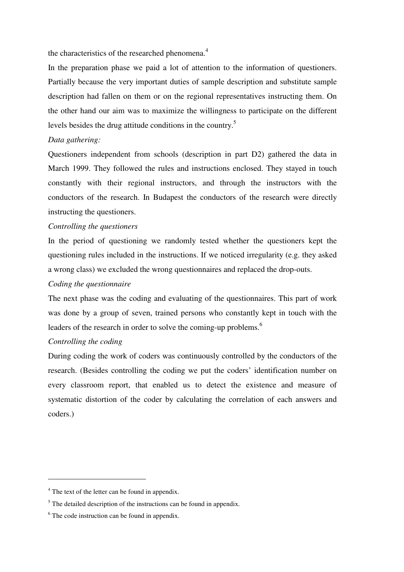the characteristics of the researched phenomena.<sup>4</sup>

In the preparation phase we paid a lot of attention to the information of questioners. Partially because the very important duties of sample description and substitute sample description had fallen on them or on the regional representatives instructing them. On the other hand our aim was to maximize the willingness to participate on the different levels besides the drug attitude conditions in the country.<sup>5</sup>

#### *Data gathering:*

Questioners independent from schools (description in part D2) gathered the data in March 1999. They followed the rules and instructions enclosed. They stayed in touch constantly with their regional instructors, and through the instructors with the conductors of the research. In Budapest the conductors of the research were directly instructing the questioners.

#### *Controlling the questioners*

In the period of questioning we randomly tested whether the questioners kept the questioning rules included in the instructions. If we noticed irregularity (e.g. they asked a wrong class) we excluded the wrong questionnaires and replaced the drop-outs.

#### *Coding the questionnaire*

The next phase was the coding and evaluating of the questionnaires. This part of work was done by a group of seven, trained persons who constantly kept in touch with the leaders of the research in order to solve the coming-up problems.<sup>6</sup>

#### *Controlling the coding*

 $\overline{a}$ 

During coding the work of coders was continuously controlled by the conductors of the research. (Besides controlling the coding we put the coders' identification number on every classroom report, that enabled us to detect the existence and measure of systematic distortion of the coder by calculating the correlation of each answers and coders.)

<sup>&</sup>lt;sup>4</sup> The text of the letter can be found in appendix.

 $<sup>5</sup>$  The detailed description of the instructions can be found in appendix.</sup>

<sup>&</sup>lt;sup>6</sup> The code instruction can be found in appendix.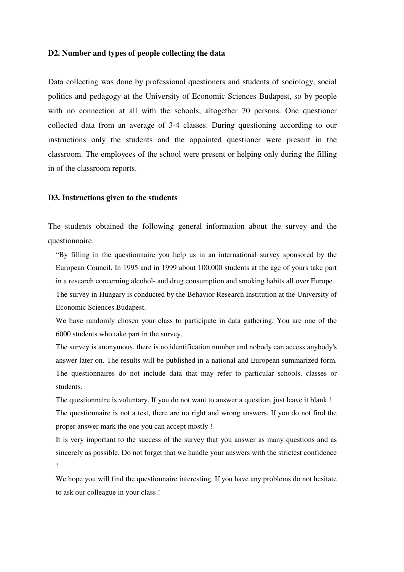#### **D2. Number and types of people collecting the data**

Data collecting was done by professional questioners and students of sociology, social politics and pedagogy at the University of Economic Sciences Budapest, so by people with no connection at all with the schools, altogether 70 persons. One questioner collected data from an average of 3-4 classes. During questioning according to our instructions only the students and the appointed questioner were present in the classroom. The employees of the school were present or helping only during the filling in of the classroom reports.

#### **D3. Instructions given to the students**

The students obtained the following general information about the survey and the questionnaire:

"By filling in the questionnaire you help us in an international survey sponsored by the European Council. In 1995 and in 1999 about 100,000 students at the age of yours take part in a research concerning alcohol- and drug consumption and smoking habits all over Europe. The survey in Hungary is conducted by the Behavior Research Institution at the University of Economic Sciences Budapest.

We have randomly chosen your class to participate in data gathering. You are one of the 6000 students who take part in the survey.

The survey is anonymous, there is no identification number and nobody can access anybody's answer later on. The results will be published in a national and European summarized form. The questionnaires do not include data that may refer to particular schools, classes or students.

The questionnaire is voluntary. If you do not want to answer a question, just leave it blank ! The questionnaire is not a test, there are no right and wrong answers. If you do not find the proper answer mark the one you can accept mostly !

It is very important to the success of the survey that you answer as many questions and as sincerely as possible. Do not forget that we handle your answers with the strictest confidence !

We hope you will find the questionnaire interesting. If you have any problems do not hesitate to ask our colleague in your class !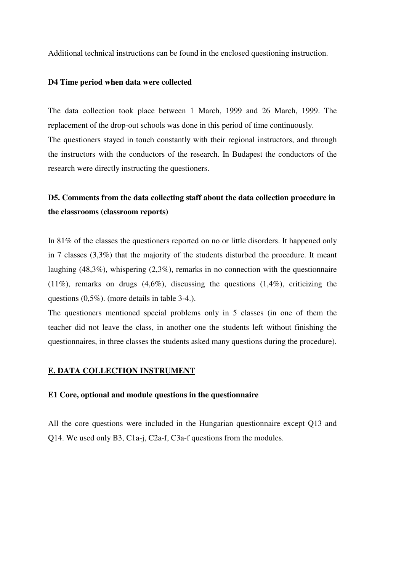Additional technical instructions can be found in the enclosed questioning instruction.

#### **D4 Time period when data were collected**

The data collection took place between 1 March, 1999 and 26 March, 1999. The replacement of the drop-out schools was done in this period of time continuously. The questioners stayed in touch constantly with their regional instructors, and through the instructors with the conductors of the research. In Budapest the conductors of the research were directly instructing the questioners.

# **D5. Comments from the data collecting staff about the data collection procedure in the classrooms (classroom reports)**

In 81% of the classes the questioners reported on no or little disorders. It happened only in 7 classes (3,3%) that the majority of the students disturbed the procedure. It meant laughing (48,3%), whispering (2,3%), remarks in no connection with the questionnaire (11%), remarks on drugs  $(4.6\%)$ , discussing the questions  $(1.4\%)$ , criticizing the questions (0,5%). (more details in table 3-4.).

The questioners mentioned special problems only in 5 classes (in one of them the teacher did not leave the class, in another one the students left without finishing the questionnaires, in three classes the students asked many questions during the procedure).

#### **E. DATA COLLECTION INSTRUMENT**

#### **E1 Core, optional and module questions in the questionnaire**

All the core questions were included in the Hungarian questionnaire except Q13 and Q14. We used only B3, C1a-j, C2a-f, C3a-f questions from the modules.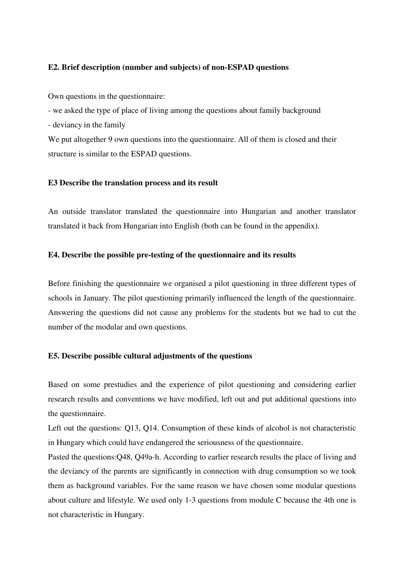#### **E2. Brief description (number and subjects) of non-ESPAD questions**

Own questions in the questionnaire:

- we asked the type of place of living among the questions about family background - deviancy in the family

We put altogether 9 own questions into the questionnaire. All of them is closed and their structure is similar to the ESPAD questions.

#### **E3 Describe the translation process and its result**

An outside translator translated the questionnaire into Hungarian and another translator translated it back from Hungarian into English (both can be found in the appendix).

#### **E4. Describe the possible pre-testing of the questionnaire and its results**

Before finishing the questionnaire we organised a pilot questioning in three different types of schools in January. The pilot questioning primarily influenced the length of the questionnaire. Answering the questions did not cause any problems for the students but we had to cut the number of the modular and own questions.

#### **E5. Describe possible cultural adjustments of the questions**

Based on some prestudies and the experience of pilot questioning and considering earlier research results and conventions we have modified, left out and put additional questions into the questionnaire.

Left out the questions: Q13, Q14. Consumption of these kinds of alcohol is not characteristic in Hungary which could have endangered the seriousness of the questionnaire.

Pasted the questions:Q48, Q49a-h. According to earlier research results the place of living and the deviancy of the parents are significantly in connection with drug consumption so we took them as background variables. For the same reason we have chosen some modular questions about culture and lifestyle. We used only 1-3 questions from module C because the 4th one is not characteristic in Hungary.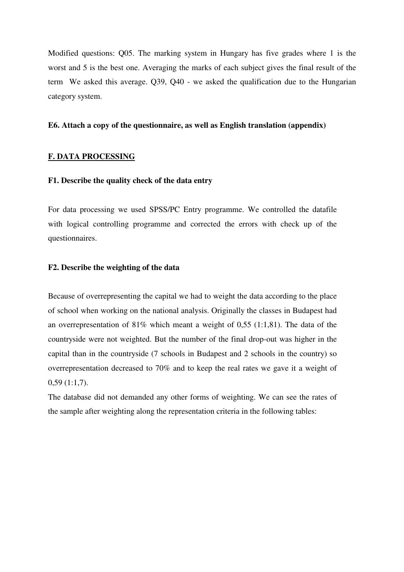Modified questions: Q05. The marking system in Hungary has five grades where 1 is the worst and 5 is the best one. Averaging the marks of each subject gives the final result of the term We asked this average. Q39, Q40 - we asked the qualification due to the Hungarian category system.

#### **E6. Attach a copy of the questionnaire, as well as English translation (appendix)**

#### **F. DATA PROCESSING**

#### **F1. Describe the quality check of the data entry**

For data processing we used SPSS/PC Entry programme. We controlled the datafile with logical controlling programme and corrected the errors with check up of the questionnaires.

#### **F2. Describe the weighting of the data**

Because of overrepresenting the capital we had to weight the data according to the place of school when working on the national analysis. Originally the classes in Budapest had an overrepresentation of 81% which meant a weight of 0,55 (1:1,81). The data of the countryside were not weighted. But the number of the final drop-out was higher in the capital than in the countryside (7 schools in Budapest and 2 schools in the country) so overrepresentation decreased to 70% and to keep the real rates we gave it a weight of 0,59 (1:1,7).

The database did not demanded any other forms of weighting. We can see the rates of the sample after weighting along the representation criteria in the following tables: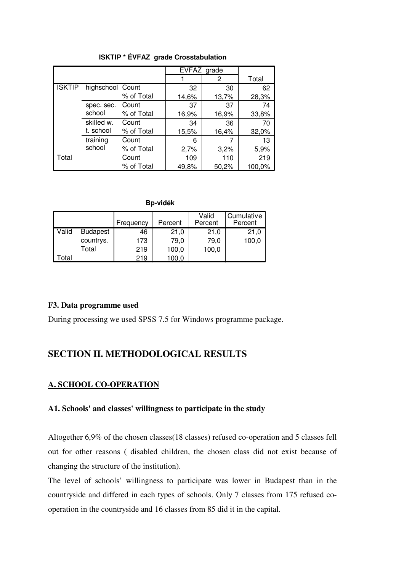|               |                  |            | EVFAZ grade |       |        |
|---------------|------------------|------------|-------------|-------|--------|
|               |                  |            |             | 2     | Total  |
| <b>ISKTIP</b> | highschool Count |            | 32          | 30    | 62     |
|               |                  | % of Total | 14,6%       | 13,7% | 28,3%  |
|               | spec. sec.       | Count      | 37          | 37    | 74     |
|               | school           | % of Total | 16,9%       | 16,9% | 33,8%  |
|               | skilled w.       | Count      | 34          | 36    | 70     |
|               | t. school        | % of Total | 15,5%       | 16,4% | 32,0%  |
|               | training         | Count      | 6           | 7     | 13     |
|               | school           | % of Total | 2,7%        | 3,2%  | 5,9%   |
| Total         |                  | Count      | 109         | 110   | 219    |
|               |                  | % of Total | 49,8%       | 50,2% | 100,0% |

**ISKTIP \* ÉVFAZ grade Crosstabulation**

 **Bp-vidék**

|       |                 | Frequency | Percent | Valid<br>Percent | Cumulative<br>Percent |
|-------|-----------------|-----------|---------|------------------|-----------------------|
| Valid | <b>Budapest</b> | 46        | 21,0    | 21,0             | 21,0                  |
|       | countrys.       | 173       | 79.0    | 79,0             | 100,0                 |
|       | Total           | 219       | 100,0   | 100,0            |                       |
| Γotal |                 | 219       | 100.0   |                  |                       |

#### **F3. Data programme used**

During processing we used SPSS 7.5 for Windows programme package.

## **SECTION II. METHODOLOGICAL RESULTS**

#### **A. SCHOOL CO-OPERATION**

#### **A1. Schools' and classes' willingness to participate in the study**

Altogether 6,9% of the chosen classes(18 classes) refused co-operation and 5 classes fell out for other reasons ( disabled children, the chosen class did not exist because of changing the structure of the institution).

The level of schools' willingness to participate was lower in Budapest than in the countryside and differed in each types of schools. Only 7 classes from 175 refused cooperation in the countryside and 16 classes from 85 did it in the capital.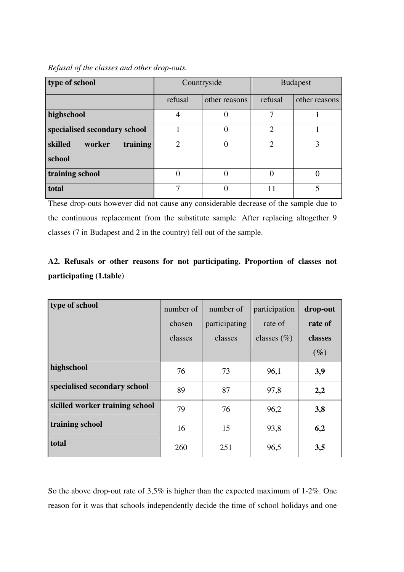#### *Refusal of the classes and other drop-outs.*

| type of school                |                             | Countryside   | <b>Budapest</b> |               |  |
|-------------------------------|-----------------------------|---------------|-----------------|---------------|--|
|                               | refusal                     | other reasons | refusal         | other reasons |  |
| highschool                    | 4                           | 0             | ⇁               |               |  |
| specialised secondary school  |                             |               | $\overline{2}$  |               |  |
| skilled<br>training<br>worker | $\mathcal{D}_{\mathcal{A}}$ | $\Omega$      | 2               | 3             |  |
| school                        |                             |               |                 |               |  |
| training school               | $\Omega$                    | 0             |                 |               |  |
| total                         | 7                           | $\theta$      | 11              | 5             |  |

These drop-outs however did not cause any considerable decrease of the sample due to the continuous replacement from the substitute sample. After replacing altogether 9 classes (7 in Budapest and 2 in the country) fell out of the sample.

# **A2. Refusals or other reasons for not participating. Proportion of classes not participating (1.table)**

| type of school                 | number of<br>chosen<br>classes | number of<br>participating<br>classes | participation<br>rate of<br>classes $(\%)$ | drop-out<br>rate of<br>classes<br>$(\%)$ |
|--------------------------------|--------------------------------|---------------------------------------|--------------------------------------------|------------------------------------------|
| highschool                     | 76                             | 73                                    | 96,1                                       | 3,9                                      |
| specialised secondary school   | 89                             | 87                                    | 97,8                                       | 2,2                                      |
| skilled worker training school | 79                             | 76                                    | 96,2                                       | 3,8                                      |
| training school                | 16                             | 15                                    | 93,8                                       | 6,2                                      |
| total                          | 260                            | 251                                   | 96,5                                       | 3,5                                      |

So the above drop-out rate of 3,5% is higher than the expected maximum of 1-2%. One reason for it was that schools independently decide the time of school holidays and one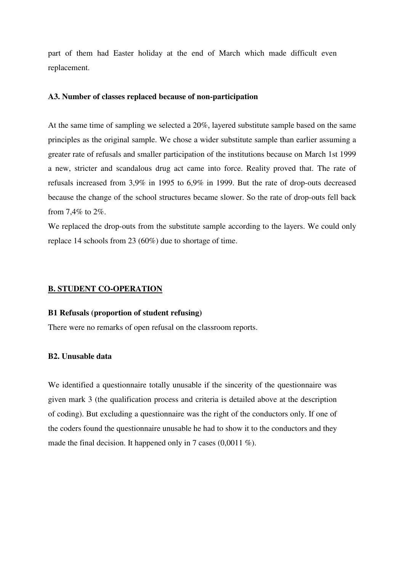part of them had Easter holiday at the end of March which made difficult even replacement.

#### **A3. Number of classes replaced because of non-participation**

At the same time of sampling we selected a 20%, layered substitute sample based on the same principles as the original sample. We chose a wider substitute sample than earlier assuming a greater rate of refusals and smaller participation of the institutions because on March 1st 1999 a new, stricter and scandalous drug act came into force. Reality proved that. The rate of refusals increased from 3,9% in 1995 to 6,9% in 1999. But the rate of drop-outs decreased because the change of the school structures became slower. So the rate of drop-outs fell back from 7,4% to 2%.

We replaced the drop-outs from the substitute sample according to the layers. We could only replace 14 schools from 23 (60%) due to shortage of time.

#### **B. STUDENT CO-OPERATION**

#### **B1 Refusals (proportion of student refusing)**

There were no remarks of open refusal on the classroom reports.

#### **B2. Unusable data**

We identified a questionnaire totally unusable if the sincerity of the questionnaire was given mark 3 (the qualification process and criteria is detailed above at the description of coding). But excluding a questionnaire was the right of the conductors only. If one of the coders found the questionnaire unusable he had to show it to the conductors and they made the final decision. It happened only in 7 cases (0,0011 %).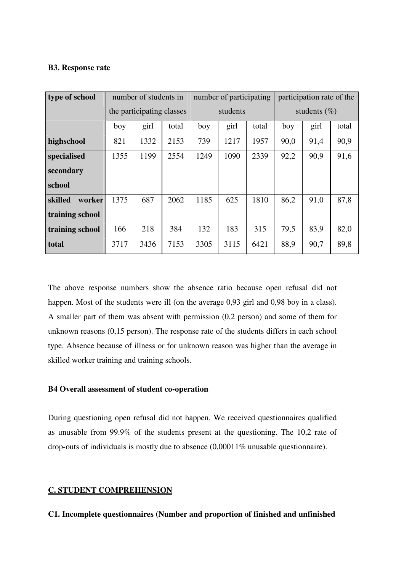#### **B3. Response rate**

| type of school    |      | number of students in     |       | number of participating |          | participation rate of the |      |                  |       |  |
|-------------------|------|---------------------------|-------|-------------------------|----------|---------------------------|------|------------------|-------|--|
|                   |      | the participating classes |       |                         | students |                           |      | students $(\% )$ |       |  |
|                   | boy  | girl                      | total | boy                     | girl     | total                     | boy  | girl             | total |  |
| highschool        | 821  | 1332                      | 2153  | 739                     | 1217     | 1957                      | 90,0 | 91,4             | 90,9  |  |
| specialised       | 1355 | 1199                      | 2554  | 1249                    | 1090     | 2339                      | 92,2 | 90,9             | 91,6  |  |
| secondary         |      |                           |       |                         |          |                           |      |                  |       |  |
| school            |      |                           |       |                         |          |                           |      |                  |       |  |
| skilled<br>worker | 1375 | 687                       | 2062  | 1185                    | 625      | 1810                      | 86,2 | 91,0             | 87,8  |  |
| training school   |      |                           |       |                         |          |                           |      |                  |       |  |
| training school   | 166  | 218                       | 384   | 132                     | 183      | 315                       | 79,5 | 83,9             | 82,0  |  |
| total             | 3717 | 3436                      | 7153  | 3305                    | 3115     | 6421                      | 88,9 | 90,7             | 89,8  |  |

The above response numbers show the absence ratio because open refusal did not happen. Most of the students were ill (on the average 0,93 girl and 0,98 boy in a class). A smaller part of them was absent with permission (0,2 person) and some of them for unknown reasons (0,15 person). The response rate of the students differs in each school type. Absence because of illness or for unknown reason was higher than the average in skilled worker training and training schools.

#### **B4 Overall assessment of student co-operation**

During questioning open refusal did not happen. We received questionnaires qualified as unusable from 99.9% of the students present at the questioning. The 10,2 rate of drop-outs of individuals is mostly due to absence (0,00011% unusable questionnaire).

#### **C. STUDENT COMPREHENSION**

**C1. Incomplete questionnaires (Number and proportion of finished and unfinished**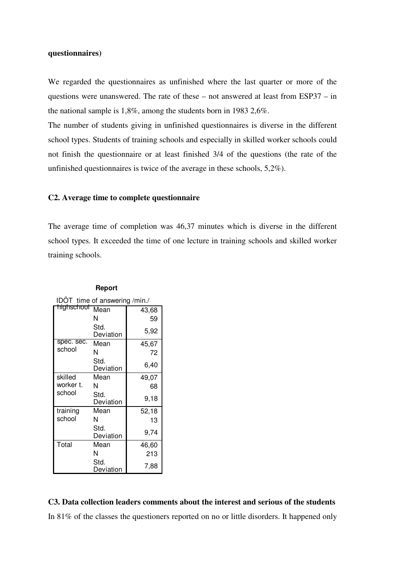#### **questionnaires)**

We regarded the questionnaires as unfinished where the last quarter or more of the questions were unanswered. The rate of these – not answered at least from ESP37 – in the national sample is 1,8%, among the students born in 1983 2,6%.

The number of students giving in unfinished questionnaires is diverse in the different school types. Students of training schools and especially in skilled worker schools could not finish the questionnaire or at least finished 3/4 of the questions (the rate of the unfinished questionnaires is twice of the average in these schools, 5,2%).

#### **C2. Average time to complete questionnaire**

The average time of completion was 46,37 minutes which is diverse in the different school types. It exceeded the time of one lecture in training schools and skilled worker training schools.

| IDOT time of answering /min./ |                   |       |  |  |  |  |
|-------------------------------|-------------------|-------|--|--|--|--|
| highschool                    | Mean              | 43,68 |  |  |  |  |
|                               | N                 | 59    |  |  |  |  |
|                               | Std.<br>Deviation | 5,92  |  |  |  |  |
| spec. sec.                    | Mean              | 45,67 |  |  |  |  |
| school                        | N                 | 72    |  |  |  |  |
|                               | Std.<br>Deviation | 6,40  |  |  |  |  |
| skilled                       | Mean              | 49,07 |  |  |  |  |
| worker t.                     | N                 | 68    |  |  |  |  |
| school                        | Std.<br>Deviation | 9,18  |  |  |  |  |
| training                      | Mean              | 52,18 |  |  |  |  |
| school                        | N                 | 13    |  |  |  |  |
|                               | Std.<br>Deviation | 9,74  |  |  |  |  |
| Total                         | Mean              | 46,60 |  |  |  |  |
|                               | N                 | 213   |  |  |  |  |
|                               | Std.<br>Deviation | 7,88  |  |  |  |  |

#### **Report**

## **C3. Data collection leaders comments about the interest and serious of the students**

In 81% of the classes the questioners reported on no or little disorders. It happened only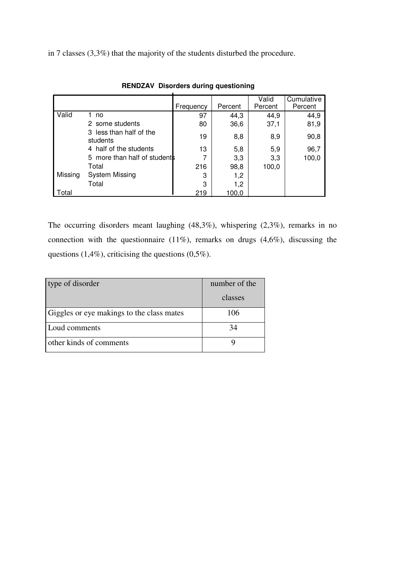in 7 classes (3,3%) that the majority of the students disturbed the procedure.

|         |                                     | Frequency | Percent | Valid<br>Percent | Cumulative<br>Percent |
|---------|-------------------------------------|-----------|---------|------------------|-----------------------|
| Valid   | no                                  | 97        | 44,3    | 44,9             | 44,9                  |
|         | 2 some students                     | 80        | 36,6    | 37,1             | 81,9                  |
|         | 3 less than half of the<br>students | 19        | 8,8     | 8,9              | 90,8                  |
|         | 4 half of the students              | 13        | 5,8     | 5,9              | 96,7                  |
|         | 5 more than half of students        |           | 3,3     | 3,3              | 100,0                 |
|         | Total                               | 216       | 98,8    | 100,0            |                       |
| Missing | <b>System Missing</b>               | 3         | 1,2     |                  |                       |
|         | Total                               | 3         | 1,2     |                  |                       |
| Total   |                                     | 219       | 100,0   |                  |                       |

**RENDZAV Disorders during questioning**

The occurring disorders meant laughing (48,3%), whispering (2,3%), remarks in no connection with the questionnaire (11%), remarks on drugs (4,6%), discussing the questions (1,4%), criticising the questions (0,5%).

| type of disorder                          | number of the |
|-------------------------------------------|---------------|
|                                           | classes       |
| Giggles or eye makings to the class mates | 106           |
| Loud comments                             |               |
| other kinds of comments                   |               |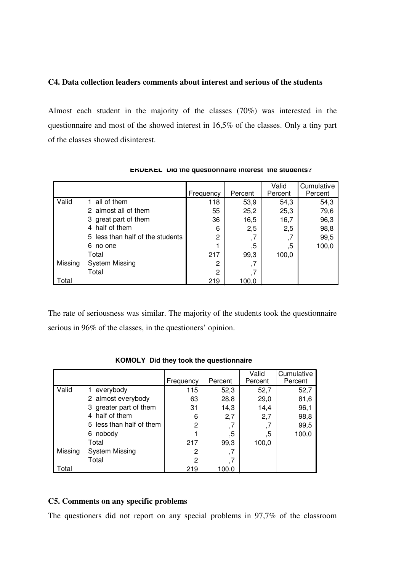#### **C4. Data collection leaders comments about interest and serious of the students**

Almost each student in the majority of the classes (70%) was interested in the questionnaire and most of the showed interest in 16,5% of the classes. Only a tiny part of the classes showed disinterest.

|         |                                  | Frequency | Percent | Valid<br>Percent | Cumulative<br>Percent |
|---------|----------------------------------|-----------|---------|------------------|-----------------------|
| Valid   | all of them                      | 118       | 53,9    | 54,3             | 54,3                  |
|         | 2 almost all of them             | 55        | 25,2    | 25,3             | 79,6                  |
|         | 3 great part of them             | 36        | 16,5    | 16,7             | 96,3                  |
|         | 4 half of them                   | 6         | 2,5     | 2,5              | 98,8                  |
|         | 5 less than half of the students | 2         | ,7      | ,7               | 99,5                  |
|         | 6 no one                         |           | ,5      | ,5               | 100,0                 |
|         | Total                            | 217       | 99,3    | 100,0            |                       |
| Missing | System Missing                   | 2         | ,7      |                  |                       |
|         | Total                            | 2         | ,7      |                  |                       |
| Total   |                                  | 219       | 100.0   |                  |                       |

**ÉRDEKEL Did the questionnaire interest the students?**

The rate of seriousness was similar. The majority of the students took the questionnaire serious in 96% of the classes, in the questioners' opinion.

|         |                          | Frequency | Percent | Valid<br>Percent | Cumulative<br>Percent |
|---------|--------------------------|-----------|---------|------------------|-----------------------|
| Valid   | 1 everybody              | 115       | 52,3    | 52,7             | 52,7                  |
|         | 2 almost everybody       | 63        | 28,8    | 29,0             | 81,6                  |
|         | 3 greater part of them   | 31        | 14,3    | 14,4             | 96,1                  |
|         | 4 half of them           | 6         | 2,7     | 2,7              | 98,8                  |
|         | 5 less than half of them | 2         | ,7      |                  | 99,5                  |
|         | 6 nobody                 |           | ,5      | .5               | 100,0                 |
|         | Total                    | 217       | 99,3    | 100,0            |                       |
| Missing | <b>System Missing</b>    | 2         | ,7      |                  |                       |
|         | Total                    | 2         |         |                  |                       |
| Total   |                          | 219       | 100.0   |                  |                       |

**KOMOLY Did they took the questionnaire**

## **C5. Comments on any specific problems**

The questioners did not report on any special problems in 97,7% of the classroom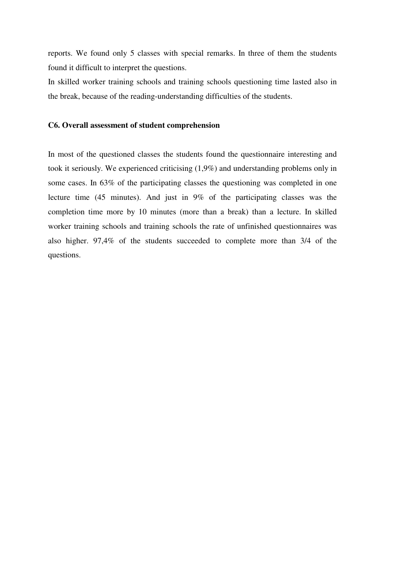reports. We found only 5 classes with special remarks. In three of them the students found it difficult to interpret the questions.

In skilled worker training schools and training schools questioning time lasted also in the break, because of the reading-understanding difficulties of the students.

#### **C6. Overall assessment of student comprehension**

In most of the questioned classes the students found the questionnaire interesting and took it seriously. We experienced criticising (1,9%) and understanding problems only in some cases. In 63% of the participating classes the questioning was completed in one lecture time (45 minutes). And just in 9% of the participating classes was the completion time more by 10 minutes (more than a break) than a lecture. In skilled worker training schools and training schools the rate of unfinished questionnaires was also higher. 97,4% of the students succeeded to complete more than 3/4 of the questions.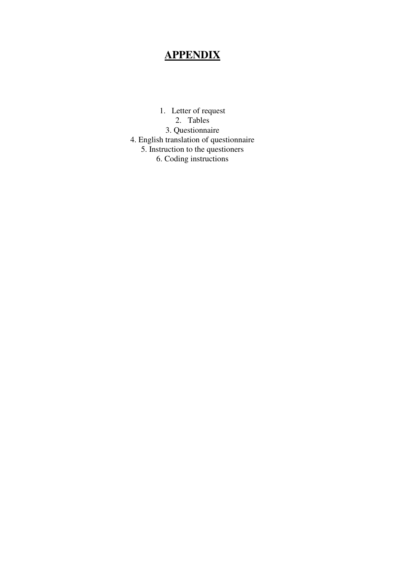# **APPENDIX**

1. Letter of request 2. Tables 3. Questionnaire 4. English translation of questionnaire 5. Instruction to the questioners 6. Coding instructions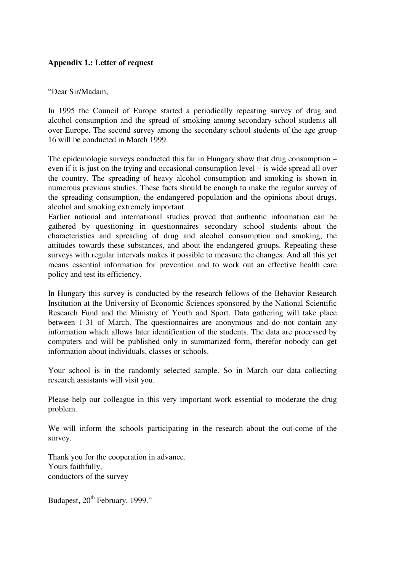## **Appendix 1.: Letter of request**

"Dear Sir/Madam,

In 1995 the Council of Europe started a periodically repeating survey of drug and alcohol consumption and the spread of smoking among secondary school students all over Europe. The second survey among the secondary school students of the age group 16 will be conducted in March 1999.

The epidemologic surveys conducted this far in Hungary show that drug consumption – even if it is just on the trying and occasional consumption level – is wide spread all over the country. The spreading of heavy alcohol consumption and smoking is shown in numerous previous studies. These facts should be enough to make the regular survey of the spreading consumption, the endangered population and the opinions about drugs, alcohol and smoking extremely important.

Earlier national and international studies proved that authentic information can be gathered by questioning in questionnaires secondary school students about the characteristics and spreading of drug and alcohol consumption and smoking, the attitudes towards these substances, and about the endangered groups. Repeating these surveys with regular intervals makes it possible to measure the changes. And all this yet means essential information for prevention and to work out an effective health care policy and test its efficiency.

In Hungary this survey is conducted by the research fellows of the Behavior Research Institution at the University of Economic Sciences sponsored by the National Scientific Research Fund and the Ministry of Youth and Sport. Data gathering will take place between 1-31 of March. The questionnaires are anonymous and do not contain any information which allows later identification of the students. The data are processed by computers and will be published only in summarized form, therefor nobody can get information about individuals, classes or schools.

Your school is in the randomly selected sample. So in March our data collecting research assistants will visit you.

Please help our colleague in this very important work essential to moderate the drug problem.

We will inform the schools participating in the research about the out-come of the survey.

Thank you for the cooperation in advance. Yours faithfully, conductors of the survey

Budapest, 20<sup>th</sup> February, 1999."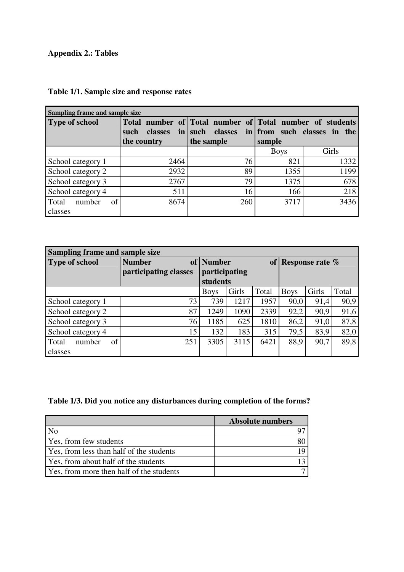# **Appendix 2.: Tables**

| Sampling frame and sample size |                        |                                                          |             |       |  |  |  |  |
|--------------------------------|------------------------|----------------------------------------------------------|-------------|-------|--|--|--|--|
| <b>Type of school</b>          |                        | Total number of Total number of Total number of students |             |       |  |  |  |  |
|                                | <b>classes</b><br>such | in such classes in from such classes in the              |             |       |  |  |  |  |
|                                | the country            | the sample                                               | sample      |       |  |  |  |  |
|                                |                        |                                                          | <b>Boys</b> | Girls |  |  |  |  |
| School category 1              | 2464                   | 76                                                       | 821         | 1332  |  |  |  |  |
| School category 2              | 2932                   | 89                                                       | 1355        | 1199  |  |  |  |  |
| School category 3              | 2767                   | 79                                                       | 1375        | 678   |  |  |  |  |
| School category 4              | 511                    | 16                                                       | 166         | 218   |  |  |  |  |
| number<br>Total<br>of          | 8674                   | 260                                                      | 3717        | 3436  |  |  |  |  |
| classes                        |                        |                                                          |             |       |  |  |  |  |

# **Table 1/1. Sample size and response rates**

| Sampling frame and sample size   |                                        |                                          |       |       |                       |       |       |
|----------------------------------|----------------------------------------|------------------------------------------|-------|-------|-----------------------|-------|-------|
| <b>Type of school</b>            | <b>Number</b><br>participating classes | of   Number<br>participating<br>students |       |       | of Response rate $\%$ |       |       |
|                                  |                                        | <b>Boys</b>                              | Girls | Total | <b>Boys</b>           | Girls | Total |
| School category 1                | 73                                     | 739                                      | 1217  | 1957  | 90,0                  | 91,4  | 90,9  |
| School category 2                | 87                                     | 1249                                     | 1090  | 2339  | 92,2                  | 90,9  | 91,6  |
| School category 3                | 76                                     | 1185                                     | 625   | 1810  | 86,2                  | 91,0  | 87,8  |
| School category 4                | 15                                     | 132                                      | 183   | 315   | 79,5                  | 83,9  | 82,0  |
| of<br>number<br>Total<br>classes | 251                                    | 3305                                     | 3115  | 6421  | 88,9                  | 90,7  | 89,8  |

# **Table 1/3. Did you notice any disturbances during completion of the forms?**

|                                             | <b>Absolute numbers</b> |
|---------------------------------------------|-------------------------|
| No                                          |                         |
| Yes, from few students                      |                         |
| Yes, from less than half of the students    |                         |
| <b>Yes, from about half of the students</b> |                         |
| Yes, from more then half of the students    |                         |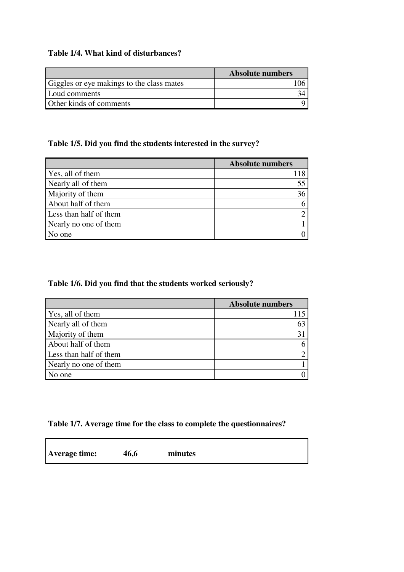## **Table 1/4. What kind of disturbances?**

|                                           | <b>Absolute numbers</b> |
|-------------------------------------------|-------------------------|
| Giggles or eye makings to the class mates |                         |
| Loud comments                             |                         |
| Other kinds of comments                   |                         |

## **Table 1/5. Did you find the students interested in the survey?**

|                        | <b>Absolute numbers</b> |
|------------------------|-------------------------|
| Yes, all of them       |                         |
| Nearly all of them     | 55                      |
| Majority of them       | 36                      |
| About half of them     |                         |
| Less than half of them |                         |
| Nearly no one of them  |                         |
| No one                 |                         |

## **Table 1/6. Did you find that the students worked seriously?**

|                        | <b>Absolute numbers</b> |
|------------------------|-------------------------|
| Yes, all of them       |                         |
| Nearly all of them     | 63                      |
| Majority of them       |                         |
| About half of them     |                         |
| Less than half of them |                         |
| Nearly no one of them  |                         |
| No one                 |                         |

# **Table 1/7. Average time for the class to complete the questionnaires?**

| <b>Average time:</b> | 46,6 | minutes |
|----------------------|------|---------|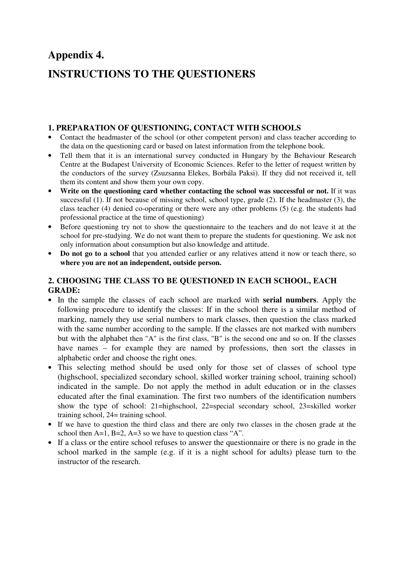# **Appendix 4. INSTRUCTIONS TO THE QUESTIONERS**

## **1. PREPARATION OF QUESTIONING, CONTACT WITH SCHOOLS**

- Contact the headmaster of the school (or other competent person) and class teacher according to the data on the questioning card or based on latest information from the telephone book.
- Tell them that it is an international survey conducted in Hungary by the Behaviour Research Centre at the Budapest University of Economic Sciences. Refer to the letter of request written by the conductors of the survey (Zsuzsanna Elekes, Borbála Paksi). If they did not received it, tell them its content and show them your own copy.
- **Write on the questioning card whether contacting the school was successful or not.** If it was successful (1). If not because of missing school, school type, grade (2). If the headmaster (3), the class teacher (4) denied co-operating or there were any other problems (5) (e.g. the students had professional practice at the time of questioning)
- Before questioning try not to show the questionnaire to the teachers and do not leave it at the school for pre-studying. We do not want them to prepare the students for questioning. We ask not only information about consumption but also knowledge and attitude.
- **Do not go to a school** that you attended earlier or any relatives attend it now or teach there, so **where you are not an independent, outside person.**

## **2. CHOOSING THE CLASS TO BE QUESTIONED IN EACH SCHOOL, EACH GRADE:**

- In the sample the classes of each school are marked with **serial numbers**. Apply the following procedure to identify the classes: If in the school there is a similar method of marking, namely they use serial numbers to mark classes, then question the class marked with the same number according to the sample. If the classes are not marked with numbers but with the alphabet then "A" is the first class, "B" is the second one and so on. If the classes have names – for example they are named by professions, then sort the classes in alphabetic order and choose the right ones.
- This selecting method should be used only for those set of classes of school type (highschool, specialized secondary school, skilled worker training school, training school) indicated in the sample. Do not apply the method in adult education or in the classes educated after the final examination. The first two numbers of the identification numbers show the type of school: 21=highschool, 22=special secondary school, 23=skilled worker training school, 24= training school.
- If we have to question the third class and there are only two classes in the chosen grade at the school then  $A=1$ ,  $B=2$ ,  $A=3$  so we have to question class "A".
- If a class or the entire school refuses to answer the questionnaire or there is no grade in the school marked in the sample (e.g. if it is a night school for adults) please turn to the instructor of the research.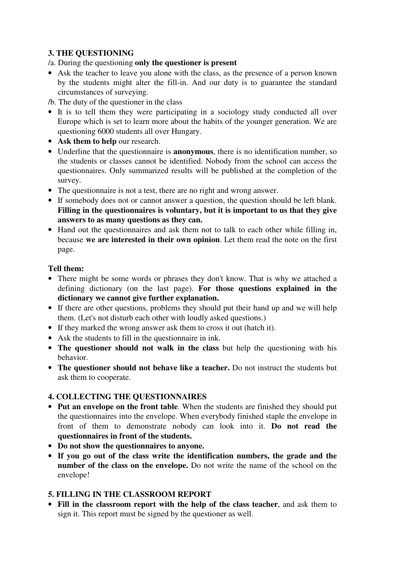## **3. THE QUESTIONING**

/a. During the questioning **only the questioner is present**

- Ask the teacher to leave you alone with the class, as the presence of a person known by the students might alter the fill-in. And our duty is to guarantee the standard circumstances of surveying.
- /b. The duty of the questioner in the class
- It is to tell them they were participating in a sociology study conducted all over Europe which is set to learn more about the habits of the younger generation. We are questioning 6000 students all over Hungary.
- **Ask them to help** our research.
- Underline that the questionnaire is **anonymous**, there is no identification number, so the students or classes cannot be identified. Nobody from the school can access the questionnaires. Only summarized results will be published at the completion of the survey.
- The questionnaire is not a test, there are no right and wrong answer.
- If somebody does not or cannot answer a question, the question should be left blank. **Filling in the questionnaires is voluntary, but it is important to us that they give answers to as many questions as they can.**
- Hand out the questionnaires and ask them not to talk to each other while filling in, because **we are interested in their own opinion**. Let them read the note on the first page.

## **Tell them:**

- There might be some words or phrases they don't know. That is why we attached a defining dictionary (on the last page). **For those questions explained in the dictionary we cannot give further explanation.**
- If there are other questions, problems they should put their hand up and we will help them. (Let's not disturb each other with loudly asked questions.)
- If they marked the wrong answer ask them to cross it out (hatch it).
- Ask the students to fill in the questionnaire in ink.
- **The questioner should not walk in the class** but help the questioning with his behavior.
- **The questioner should not behave like a teacher.** Do not instruct the students but ask them to cooperate.

## **4. COLLECTING THE QUESTIONNAIRES**

- **Put an envelope on the front table**. When the students are finished they should put the questionnaires into the envelope. When everybody finished staple the envelope in front of them to demonstrate nobody can look into it. **Do not read the questionnaires in front of the students.**
- **Do not show the questionnaires to anyone.**
- **If you go out of the class write the identification numbers, the grade and the number of the class on the envelope.** Do not write the name of the school on the envelope!

## **5. FILLING IN THE CLASSROOM REPORT**

• **Fill in the classroom report with the help of the class teacher**, and ask them to sign it. This report must be signed by the questioner as well.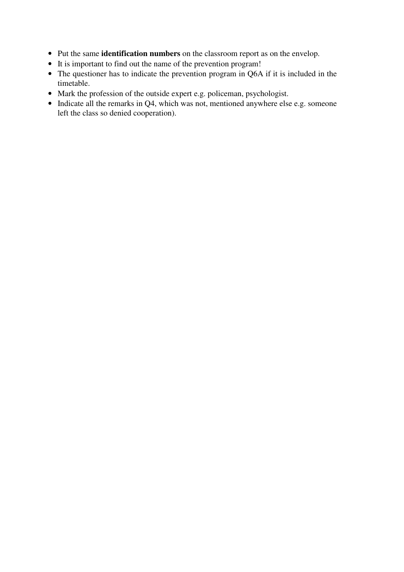- Put the same **identification numbers** on the classroom report as on the envelop.
- It is important to find out the name of the prevention program!
- The questioner has to indicate the prevention program in Q6A if it is included in the timetable.
- Mark the profession of the outside expert e.g. policeman, psychologist.
- Indicate all the remarks in Q4, which was not, mentioned anywhere else e.g. someone left the class so denied cooperation).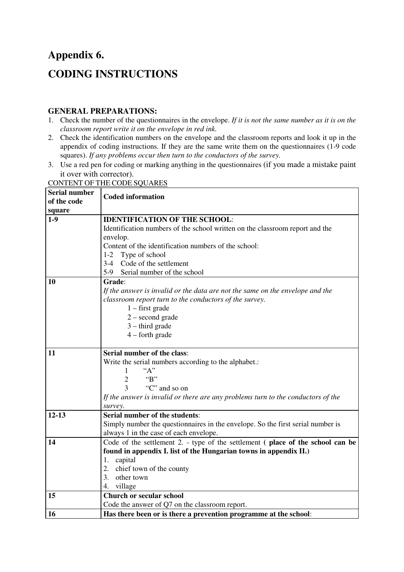# **Appendix 6. CODING INSTRUCTIONS**

## **GENERAL PREPARATIONS:**

- 1. Check the number of the questionnaires in the envelope. *If it is not the same number as it is on the classroom report write it on the envelope in red ink.*
- 2. Check the identification numbers on the envelope and the classroom reports and look it up in the appendix of coding instructions. If they are the same write them on the questionnaires (1-9 code squares). *If any problems occur then turn to the conductors of the survey.*
- 3. Use a red pen for coding or marking anything in the questionnaires (if you made a mistake paint it over with corrector).

| <b>Serial number</b><br>of the code | <b>Coded information</b>                                                         |
|-------------------------------------|----------------------------------------------------------------------------------|
| square                              |                                                                                  |
| $1-9$                               | <b>IDENTIFICATION OF THE SCHOOL:</b>                                             |
|                                     | Identification numbers of the school written on the classroom report and the     |
|                                     | envelop.                                                                         |
|                                     | Content of the identification numbers of the school:                             |
|                                     | 1-2 Type of school                                                               |
|                                     | 3-4 Code of the settlement                                                       |
|                                     | 5-9 Serial number of the school                                                  |
| 10                                  | Grade:                                                                           |
|                                     | If the answer is invalid or the data are not the same on the envelope and the    |
|                                     | classroom report turn to the conductors of the survey.                           |
|                                     | $1$ – first grade                                                                |
|                                     | $2$ – second grade                                                               |
|                                     | $3 - third$ grade                                                                |
|                                     | $4$ – forth grade                                                                |
|                                     |                                                                                  |
| 11                                  | Serial number of the class:                                                      |
|                                     | Write the serial numbers according to the alphabet.:                             |
|                                     | "A"<br>1                                                                         |
|                                     | B<br>$\overline{2}$                                                              |
|                                     | "C" and so on<br>3                                                               |
|                                     | If the answer is invalid or there are any problems turn to the conductors of the |
|                                     | survey.                                                                          |
| $12 - 13$                           | Serial number of the students:                                                   |
|                                     | Simply number the questionnaires in the envelope. So the first serial number is  |
|                                     | always 1 in the case of each envelope.                                           |
| 14                                  | Code of the settlement 2. - type of the settlement (place of the school can be   |
|                                     | found in appendix I. list of the Hungarian towns in appendix II.)                |
|                                     | 1. capital                                                                       |
|                                     | 2. chief town of the county                                                      |
|                                     | 3. other town                                                                    |
|                                     | 4. village                                                                       |
| 15                                  | <b>Church or secular school</b>                                                  |
|                                     | Code the answer of Q7 on the classroom report.                                   |
| <b>16</b>                           | Has there been or is there a prevention programme at the school:                 |

CONTENT OF THE CODE SQUARES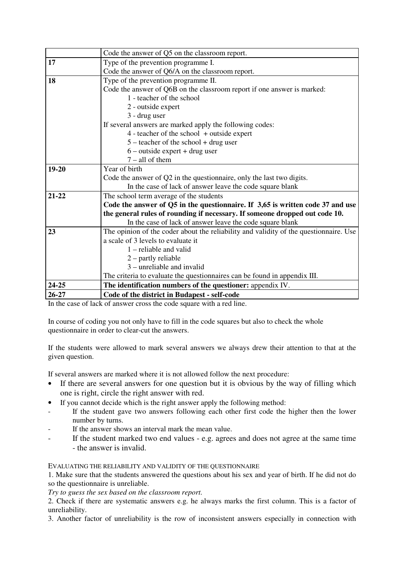|           | Code the answer of Q5 on the classroom report.                                        |
|-----------|---------------------------------------------------------------------------------------|
| 17        | Type of the prevention programme I.                                                   |
|           | Code the answer of Q6/A on the classroom report.                                      |
| 18        | Type of the prevention programme II.                                                  |
|           | Code the answer of Q6B on the classroom report if one answer is marked:               |
|           | 1 - teacher of the school                                                             |
|           | 2 - outside expert                                                                    |
|           | 3 - drug user                                                                         |
|           | If several answers are marked apply the following codes:                              |
|           | 4 - teacher of the school + outside expert                                            |
|           | $5 - \text{teacher of the school} + \text{drug user}$                                 |
|           | $6$ – outside expert + drug user                                                      |
|           | $7 - all$ of them                                                                     |
| 19-20     | Year of birth                                                                         |
|           | Code the answer of Q2 in the questionnaire, only the last two digits.                 |
|           | In the case of lack of answer leave the code square blank                             |
| $21 - 22$ | The school term average of the students                                               |
|           | Code the answer of Q5 in the questionnaire. If 3,65 is written code 37 and use        |
|           | the general rules of rounding if necessary. If someone dropped out code 10.           |
|           | In the case of lack of answer leave the code square blank                             |
| 23        | The opinion of the coder about the reliability and validity of the questionnaire. Use |
|           | a scale of 3 levels to evaluate it                                                    |
|           | $1$ – reliable and valid                                                              |
|           | $2$ – partly reliable                                                                 |
|           | $3$ – unreliable and invalid                                                          |
|           | The criteria to evaluate the questionnaires can be found in appendix III.             |
| 24-25     | The identification numbers of the questioner: appendix IV.                            |
| 26-27     | Code of the district in Budapest - self-code                                          |

In the case of lack of answer cross the code square with a red line.

In course of coding you not only have to fill in the code squares but also to check the whole questionnaire in order to clear-cut the answers.

If the students were allowed to mark several answers we always drew their attention to that at the given question.

If several answers are marked where it is not allowed follow the next procedure:

- If there are several answers for one question but it is obvious by the way of filling which one is right, circle the right answer with red.
- If you cannot decide which is the right answer apply the following method:
- If the student gave two answers following each other first code the higher then the lower number by turns.
- If the answer shows an interval mark the mean value.
	- If the student marked two end values e.g. agrees and does not agree at the same time - the answer is invalid.

EVALUATING THE RELIABILITY AND VALIDITY OF THE QUESTIONNAIRE

1. Make sure that the students answered the questions about his sex and year of birth. If he did not do so the questionnaire is unreliable.

#### *Try to guess the sex based on the classroom report.*

2. Check if there are systematic answers e.g. he always marks the first column. This is a factor of unreliability.

3. Another factor of unreliability is the row of inconsistent answers especially in connection with